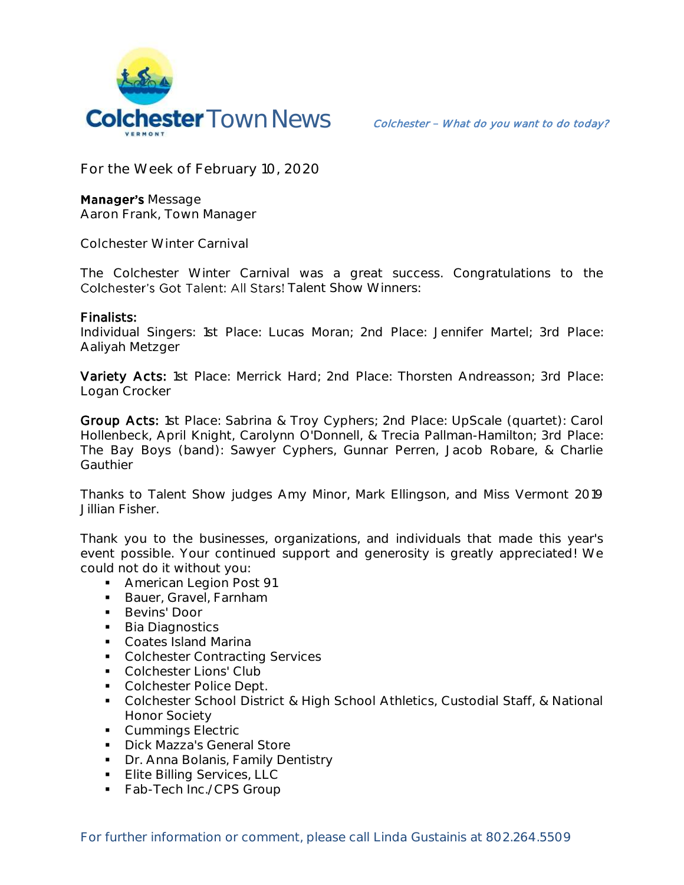

**For the Week of February 10, 2020**

**Manager's Message Aaron Frank, Town Manager**

**Colchester Winter Carnival**

The Colchester Winter Carnival was a great success. Congratulations to the Colchester's Got Talent: All Stars! Talent Show Winners:

## Finalists:

Individual Singers: 1st Place: Lucas Moran; 2nd Place: Jennifer Martel; 3rd Place: Aaliyah Metzger

Variety Acts: 1st Place: Merrick Hard; 2nd Place: Thorsten Andreasson; 3rd Place: Logan Crocker

Group Acts: 1st Place: Sabrina & Troy Cyphers; 2nd Place: UpScale (quartet): Carol Hollenbeck, April Knight, Carolynn O'Donnell, & Trecia Pallman-Hamilton; 3rd Place: The Bay Boys (band): Sawyer Cyphers, Gunnar Perren, Jacob Robare, & Charlie **Gauthier** 

Thanks to Talent Show judges Amy Minor, Mark Ellingson, and Miss Vermont 2019 Jillian Fisher.

Thank you to the businesses, organizations, and individuals that made this year's event possible. Your continued support and generosity is greatly appreciated! We could not do it without you:

- **American Legion Post 91**
- **Bauer, Gravel, Farnham**
- **Bevins' Door**
- **Bia Diagnostics**
- **Coates Island Marina**
- Colchester Contracting Services
- Colchester Lions' Club
- Colchester Police Dept.
- Colchester School District & High School Athletics, Custodial Staff, & National Honor Society
- **Cummings Electric**
- **Dick Mazza's General Store**
- **Dr. Anna Bolanis, Family Dentistry**
- **Elite Billing Services, LLC**
- Fab-Tech Inc./CPS Group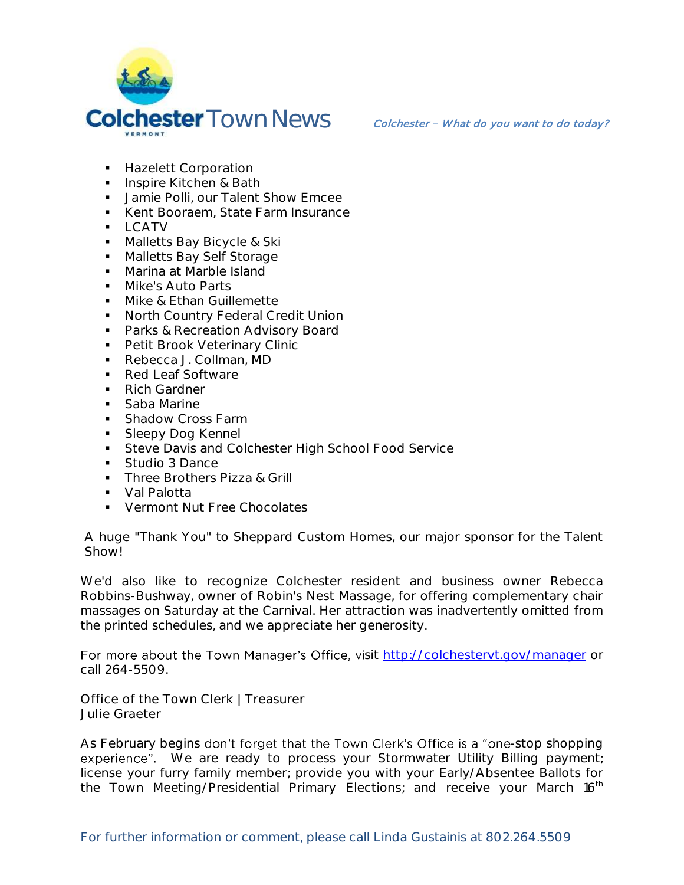

- **Hazelett Corporation**
- **Inspire Kitchen & Bath**
- **Jamie Polli, our Talent Show Emcee**
- Kent Booraem, State Farm Insurance
- $-LCATV$
- **Malletts Bay Bicycle & Ski**
- **Malletts Bay Self Storage**
- **Marina at Marble Island**
- **Mike's Auto Parts**
- Mike & Ethan Guillemette
- **North Country Federal Credit Union**
- **Parks & Recreation Advisory Board**
- **Petit Brook Veterinary Clinic**
- Rebecca J. Collman, MD
- Red Leaf Software
- Rich Gardner
- Saba Marine
- **Shadow Cross Farm**
- **Sleepy Dog Kennel**
- **Steve Davis and Colchester High School Food Service**
- Studio 3 Dance
- **Three Brothers Pizza & Grill**
- Val Palotta
- **Vermont Nut Free Chocolates**

A huge "Thank You" to Sheppard Custom Homes, our major sponsor for the Talent Show!

We'd also like to recognize Colchester resident and business owner Rebecca Robbins-Bushway, owner of Robin's Nest Massage, for offering complementary chair massages on Saturday at the Carnival. Her attraction was inadvertently omitted from the printed schedules, and we appreciate her generosity.

For more about the Town Manager's Office, visit<http://colchestervt.gov/manager> or call 264-5509.

**Office of the Town Clerk | Treasurer Julie Graeter**

As February begins don't forget that the Town Clerk's Office is a "one-stop shopping experience". We are ready to process your Stormwater Utility Billing payment; license your furry family member; provide you with your Early/Absentee Ballots for the Town Meeting/Presidential Primary Elections; and receive your March 16<sup>th</sup>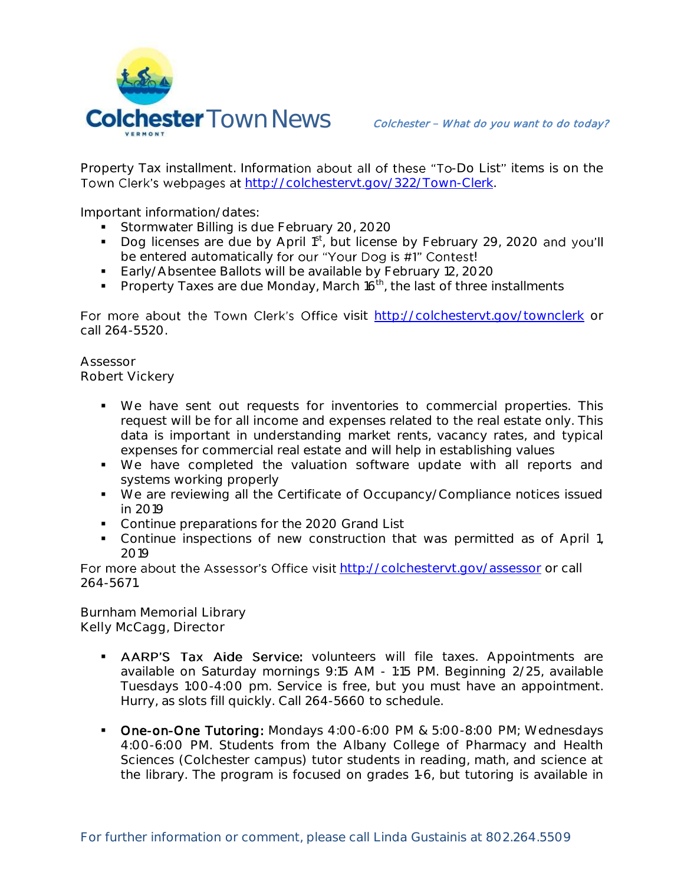

Property Tax installment. Information about all of these "To-Do List" items is on the Town Clerk's webpages at [http://colchestervt.gov/322/Town-Clerk.](http://colchestervt.gov/322/Town-Clerk)

Important information/dates:

- Stormwater Billing is due February 20, 2020
- Dog licenses are due by April 1st, but license by February 29, 2020 and you'll be entered automatically for our "Your Dog is #1" Contest!
- **Early/Absentee Ballots will be available by February 12, 2020**
- Property Taxes are due Monday, March  $16<sup>th</sup>$ , the last of three installments

For more about the Town Clerk's Office visit <http://colchestervt.gov/townclerk> or call 264-5520.

**Assessor Robert Vickery**

- We have sent out requests for inventories to commercial properties. This request will be for all income and expenses related to the real estate only. This data is important in understanding market rents, vacancy rates, and typical expenses for commercial real estate and will help in establishing values
- We have completed the valuation software update with all reports and systems working properly
- We are reviewing all the Certificate of Occupancy/Compliance notices issued in 2019
- Continue preparations for the 2020 Grand List
- Continue inspections of new construction that was permitted as of April 1, 2019

For more about the Assessor's Office visit <http://colchestervt.gov/assessor> or call 264-5671.

**Burnham Memorial Library Kelly McCagg, Director**

- **AARP'S Tax Aide Service**: volunteers will file taxes. Appointments are available on Saturday mornings 9:15 AM - 1:15 PM. Beginning 2/25, available Tuesdays 1:00-4:00 pm. Service is free, but you must have an appointment. Hurry, as slots fill quickly. Call 264-5660 to schedule.
- **Dne-on-One Tutoring:** Mondays 4:00-6:00 PM & 5:00-8:00 PM; Wednesdays 4:00-6:00 PM. Students from the Albany College of Pharmacy and Health Sciences (Colchester campus) tutor students in reading, math, and science at the library. The program is focused on grades 1-6, but tutoring is available in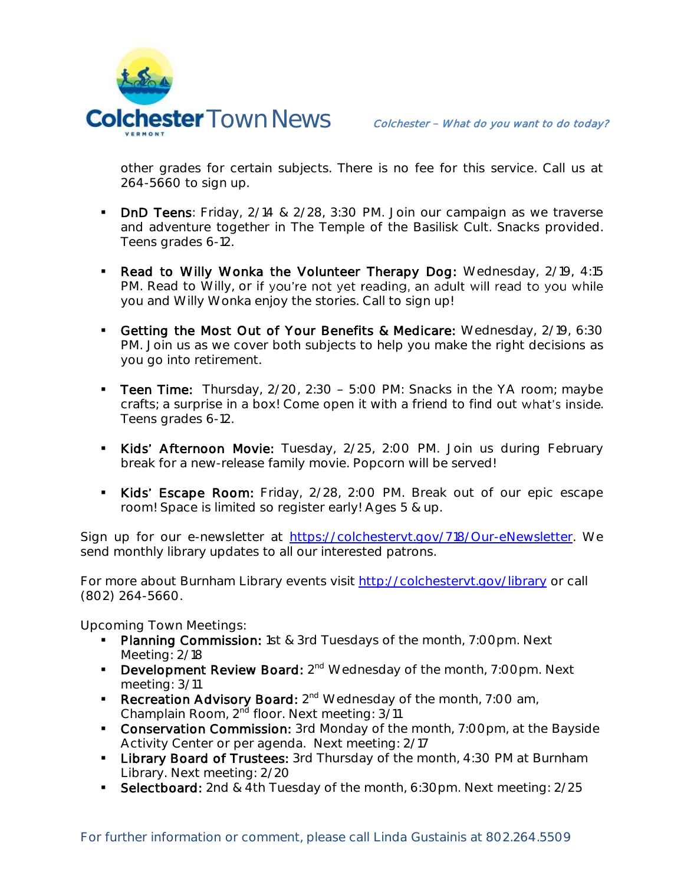

other grades for certain subjects. There is no fee for this service. Call us at 264-5660 to sign up.

- DnD Teens: Friday, 2/14 & 2/28, 3:30 PM. Join our campaign as we traverse and adventure together in The Temple of the Basilisk Cult. Snacks provided. Teens grades 6-12.
- Read to Willy Wonka the Volunteer Therapy Dog: Wednesday, 2/19, 4:15 PM. Read to Willy, or if you're not yet reading, an adult will read to you while you and Willy Wonka enjoy the stories. Call to sign up!
- Getting the Most Out of Your Benefits & Medicare: Wednesday, 2/19, 6:30 PM. Join us as we cover both subjects to help you make the right decisions as you go into retirement.
- Teen Time: Thursday, 2/20, 2:30 5:00 PM: Snacks in the YA room; maybe crafts; a surprise in a box! Come open it with a friend to find out what's inside. Teens grades 6-12.
- Kids' Afternoon Movie: Tuesday, 2/25, 2:00 PM. Join us during February break for a new-release family movie. Popcorn will be served!
- Kids' Escape Room: Friday, 2/28, 2:00 PM. Break out of our epic escape room! Space is limited so register early! Ages 5 & up.

Sign up for our e-newsletter at [https://colchestervt.gov/718/Our-eNewsletter.](https://colchestervt.gov/718/Our-eNewsletter) We send monthly library updates to all our interested patrons.

For more about Burnham Library events visit<http://colchestervt.gov/library> or call (802) 264-5660.

**Upcoming Town Meetings:** 

- **Planning Commission:** 1st & 3rd Tuesdays of the month, 7:00pm. Next Meeting: 2/18
- **Development Review Board:** 2<sup>nd</sup> Wednesday of the month, 7:00pm. Next meeting: 3/11
- **Recreation Advisory Board:**  $2^{nd}$  Wednesday of the month, 7:00 am, Champlain Room, 2<sup>nd</sup> floor. Next meeting: 3/11
- **Conservation Commission:** 3rd Monday of the month, 7:00pm, at the Bayside Activity Center or per agenda. Next meeting: 2/17
- **Library Board of Trustees:** 3rd Thursday of the month, 4:30 PM at Burnham Library. Next meeting: 2/20
- Selectboard: 2nd & 4th Tuesday of the month, 6:30pm. Next meeting: 2/25